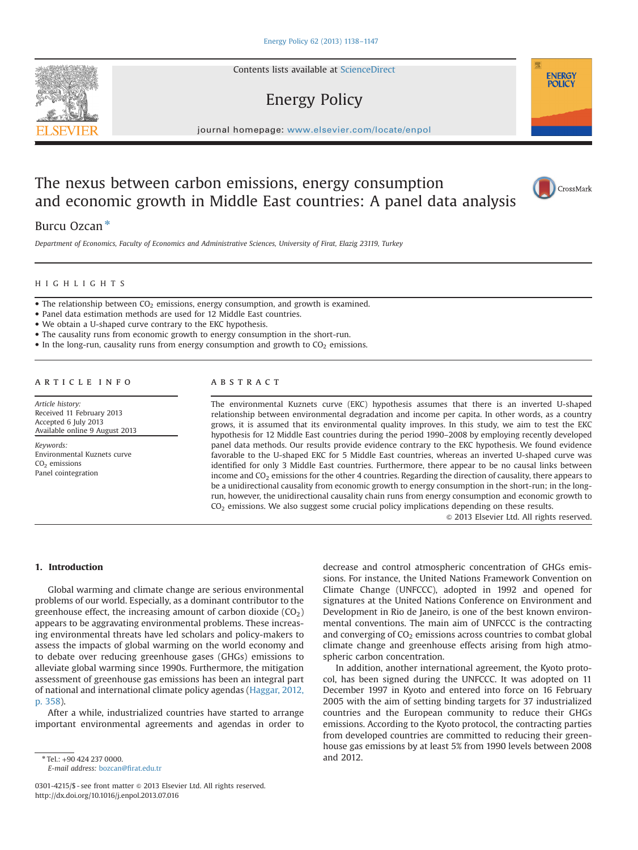Contents lists available at [ScienceDirect](www.sciencedirect.com/science/journal/03014215)

# Energy Policy

journal homepage: <www.elsevier.com/locate/enpol>e  $\mathcal{N}$ 

# The nexus between carbon emissions, energy consumption and economic growth in Middle East countries: A panel data analysis



Department of Economics, Faculty of Economics and Administrative Sciences, University of Firat, Elazig 23119, Turkey

### HIGHLIGHTS

- $\bullet$  The relationship between CO<sub>2</sub> emissions, energy consumption, and growth is examined.
- Panel data estimation methods are used for 12 Middle East countries.
- We obtain a U-shaped curve contrary to the EKC hypothesis.
- The causality runs from economic growth to energy consumption in the short-run.
- $\bullet$  In the long-run, causality runs from energy consumption and growth to CO<sub>2</sub> emissions.

### article info

Article history: Received 11 February 2013 Accepted 6 July 2013 Available online 9 August 2013

Keywords: Environmental Kuznets curve CO<sub>2</sub> emissions Panel cointegration

#### **ABSTRACT**

The environmental Kuznets curve (EKC) hypothesis assumes that there is an inverted U-shaped relationship between environmental degradation and income per capita. In other words, as a country grows, it is assumed that its environmental quality improves. In this study, we aim to test the EKC hypothesis for 12 Middle East countries during the period 1990–2008 by employing recently developed panel data methods. Our results provide evidence contrary to the EKC hypothesis. We found evidence favorable to the U-shaped EKC for 5 Middle East countries, whereas an inverted U-shaped curve was identified for only 3 Middle East countries. Furthermore, there appear to be no causal links between income and  $CO<sub>2</sub>$  emissions for the other 4 countries. Regarding the direction of causality, there appears to be a unidirectional causality from economic growth to energy consumption in the short-run; in the longrun, however, the unidirectional causality chain runs from energy consumption and economic growth to CO<sub>2</sub> emissions. We also suggest some crucial policy implications depending on these results.

 $\odot$  2013 Elsevier Ltd. All rights reserved.

## 1. Introduction

Global warming and climate change are serious environmental problems of our world. Especially, as a dominant contributor to the greenhouse effect, the increasing amount of carbon dioxide  $(CO<sub>2</sub>)$ appears to be aggravating environmental problems. These increasing environmental threats have led scholars and policy-makers to assess the impacts of global warming on the world economy and to debate over reducing greenhouse gases (GHGs) emissions to alleviate global warming since 1990s. Furthermore, the mitigation assessment of greenhouse gas emissions has been an integral part of national and international climate policy agendas ([Haggar, 2012,](#page--1-0) [p. 358](#page--1-0)).

After a while, industrialized countries have started to arrange important environmental agreements and agendas in order to decrease and control atmospheric concentration of GHGs emissions. For instance, the United Nations Framework Convention on Climate Change (UNFCCC), adopted in 1992 and opened for signatures at the United Nations Conference on Environment and Development in Rio de Janeiro, is one of the best known environmental conventions. The main aim of UNFCCC is the contracting and converging of  $CO<sub>2</sub>$  emissions across countries to combat global climate change and greenhouse effects arising from high atmospheric carbon concentration.

In addition, another international agreement, the Kyoto protocol, has been signed during the UNFCCC. It was adopted on 11 December 1997 in Kyoto and entered into force on 16 February 2005 with the aim of setting binding targets for 37 industrialized countries and the European community to reduce their GHGs emissions. According to the Kyoto protocol, the contracting parties from developed countries are committed to reducing their greenhouse gas emissions by at least 5% from 1990 levels between 2008 and 2012.





**ENERGY POLICY** 

<sup>\*</sup> Tel.: +90 424 237 0000.

E-mail address: bozcan@fi[rat.edu.tr](mailto:bozcan@firat.edu.tr)

<sup>0301-4215/\$ -</sup> see front matter @ 2013 Elsevier Ltd. All rights reserved. <http://dx.doi.org/10.1016/j.enpol.2013.07.016>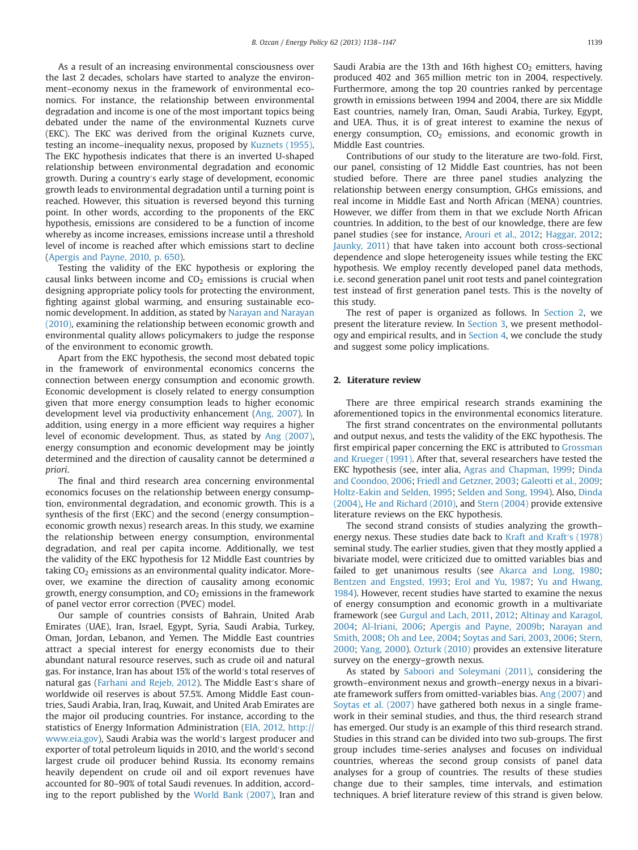As a result of an increasing environmental consciousness over the last 2 decades, scholars have started to analyze the environment–economy nexus in the framework of environmental economics. For instance, the relationship between environmental degradation and income is one of the most important topics being debated under the name of the environmental Kuznets curve (EKC). The EKC was derived from the original Kuznets curve, testing an income–inequality nexus, proposed by [Kuznets \(1955\).](#page--1-0) The EKC hypothesis indicates that there is an inverted U-shaped relationship between environmental degradation and economic growth. During a country′s early stage of development, economic growth leads to environmental degradation until a turning point is reached. However, this situation is reversed beyond this turning point. In other words, according to the proponents of the EKC hypothesis, emissions are considered to be a function of income whereby as income increases, emissions increase until a threshold level of income is reached after which emissions start to decline ([Apergis and Payne, 2010, p. 650\)](#page--1-0).

Testing the validity of the EKC hypothesis or exploring the causal links between income and  $CO<sub>2</sub>$  emissions is crucial when designing appropriate policy tools for protecting the environment, fighting against global warming, and ensuring sustainable economic development. In addition, as stated by [Narayan and Narayan](#page--1-0) [\(2010\),](#page--1-0) examining the relationship between economic growth and environmental quality allows policymakers to judge the response of the environment to economic growth.

Apart from the EKC hypothesis, the second most debated topic in the framework of environmental economics concerns the connection between energy consumption and economic growth. Economic development is closely related to energy consumption given that more energy consumption leads to higher economic development level via productivity enhancement ([Ang, 2007\)](#page--1-0). In addition, using energy in a more efficient way requires a higher level of economic development. Thus, as stated by [Ang \(2007\),](#page--1-0) energy consumption and economic development may be jointly determined and the direction of causality cannot be determined a priori.

The final and third research area concerning environmental economics focuses on the relationship between energy consumption, environmental degradation, and economic growth. This is a synthesis of the first (EKC) and the second (energy consumption– economic growth nexus) research areas. In this study, we examine the relationship between energy consumption, environmental degradation, and real per capita income. Additionally, we test the validity of the EKC hypothesis for 12 Middle East countries by taking  $CO<sub>2</sub>$  emissions as an environmental quality indicator. Moreover, we examine the direction of causality among economic growth, energy consumption, and  $CO<sub>2</sub>$  emissions in the framework of panel vector error correction (PVEC) model.

Our sample of countries consists of Bahrain, United Arab Emirates (UAE), Iran, Israel, Egypt, Syria, Saudi Arabia, Turkey, Oman, Jordan, Lebanon, and Yemen. The Middle East countries attract a special interest for energy economists due to their abundant natural resource reserves, such as crude oil and natural gas. For instance, Iran has about 15% of the world′s total reserves of natural gas [\(Farhani and Rejeb, 2012\)](#page--1-0). The Middle East′s share of worldwide oil reserves is about 57.5%. Among Middle East countries, Saudi Arabia, Iran, Iraq, Kuwait, and United Arab Emirates are the major oil producing countries. For instance, according to the statistics of Energy Information Administration [\(EIA, 2012,](#page--1-0) [http://](http://www.eia.gov) [www.eia.gov\)](http://www.eia.gov), Saudi Arabia was the world′s largest producer and exporter of total petroleum liquids in 2010, and the world′s second largest crude oil producer behind Russia. Its economy remains heavily dependent on crude oil and oil export revenues have accounted for 80–90% of total Saudi revenues. In addition, according to the report published by the [World Bank \(2007\),](#page--1-0) Iran and

Saudi Arabia are the 13th and 16th highest  $CO<sub>2</sub>$  emitters, having produced 402 and 365 million metric ton in 2004, respectively. Furthermore, among the top 20 countries ranked by percentage growth in emissions between 1994 and 2004, there are six Middle East countries, namely Iran, Oman, Saudi Arabia, Turkey, Egypt, and UEA. Thus, it is of great interest to examine the nexus of energy consumption,  $CO<sub>2</sub>$  emissions, and economic growth in Middle East countries.

Contributions of our study to the literature are two-fold. First, our panel, consisting of 12 Middle East countries, has not been studied before. There are three panel studies analyzing the relationship between energy consumption, GHGs emissions, and real income in Middle East and North African (MENA) countries. However, we differ from them in that we exclude North African countries. In addition, to the best of our knowledge, there are few panel studies (see for instance, [Arouri et al., 2012;](#page--1-0) [Haggar, 2012;](#page--1-0) [Jaunky, 2011\)](#page--1-0) that have taken into account both cross-sectional dependence and slope heterogeneity issues while testing the EKC hypothesis. We employ recently developed panel data methods, i.e. second generation panel unit root tests and panel cointegration test instead of first generation panel tests. This is the novelty of this study.

The rest of paper is organized as follows. In Section 2, we present the literature review. In [Section 3](#page--1-0), we present methodology and empirical results, and in [Section 4](#page--1-0), we conclude the study and suggest some policy implications.

#### 2. Literature review

There are three empirical research strands examining the aforementioned topics in the environmental economics literature.

The first strand concentrates on the environmental pollutants and output nexus, and tests the validity of the EKC hypothesis. The first empirical paper concerning the EKC is attributed to [Grossman](#page--1-0) [and Krueger \(1991\).](#page--1-0) After that, several researchers have tested the EKC hypothesis (see, inter alia, [Agras and Chapman, 1999](#page--1-0); [Dinda](#page--1-0) [and Coondoo, 2006;](#page--1-0) [Friedl and Getzner, 2003;](#page--1-0) [Galeotti et al., 2009;](#page--1-0) [Holtz-Eakin and Selden, 1995](#page--1-0); [Selden and Song, 1994](#page--1-0)). Also, [Dinda](#page--1-0) [\(2004\),](#page--1-0) [He and Richard \(2010\),](#page--1-0) and [Stern \(2004\)](#page--1-0) provide extensive literature reviews on the EKC hypothesis.

The second strand consists of studies analyzing the growth– energy nexus. These studies date back to [Kraft and Kraft](#page--1-0)′s (1978) seminal study. The earlier studies, given that they mostly applied a bivariate model, were criticized due to omitted variables bias and failed to get unanimous results (see [Akarca and Long, 1980;](#page--1-0) [Bentzen and Engsted, 1993;](#page--1-0) [Erol and Yu, 1987](#page--1-0); [Yu and Hwang,](#page--1-0) [1984](#page--1-0)). However, recent studies have started to examine the nexus of energy consumption and economic growth in a multivariate framework (see [Gurgul and Lach, 2011,](#page--1-0) [2012;](#page--1-0) [Altinay and Karagol,](#page--1-0) [2004;](#page--1-0) [Al-Iriani, 2006;](#page--1-0) [Apergis and Payne, 2009b;](#page--1-0) [Narayan and](#page--1-0) [Smith, 2008](#page--1-0); [Oh and Lee, 2004](#page--1-0); [Soytas and Sari, 2003,](#page--1-0) [2006;](#page--1-0) [Stern,](#page--1-0) [2000](#page--1-0); [Yang, 2000\)](#page--1-0). [Ozturk \(2010\)](#page--1-0) provides an extensive literature survey on the energy–growth nexus.

As stated by [Saboori and Soleymani \(2011\),](#page--1-0) considering the growth–environment nexus and growth–energy nexus in a bivariate framework suffers from omitted-variables bias. [Ang \(2007\)](#page--1-0) and [Soytas et al. \(2007\)](#page--1-0) have gathered both nexus in a single framework in their seminal studies, and thus, the third research strand has emerged. Our study is an example of this third research strand. Studies in this strand can be divided into two sub-groups. The first group includes time-series analyses and focuses on individual countries, whereas the second group consists of panel data analyses for a group of countries. The results of these studies change due to their samples, time intervals, and estimation techniques. A brief literature review of this strand is given below.